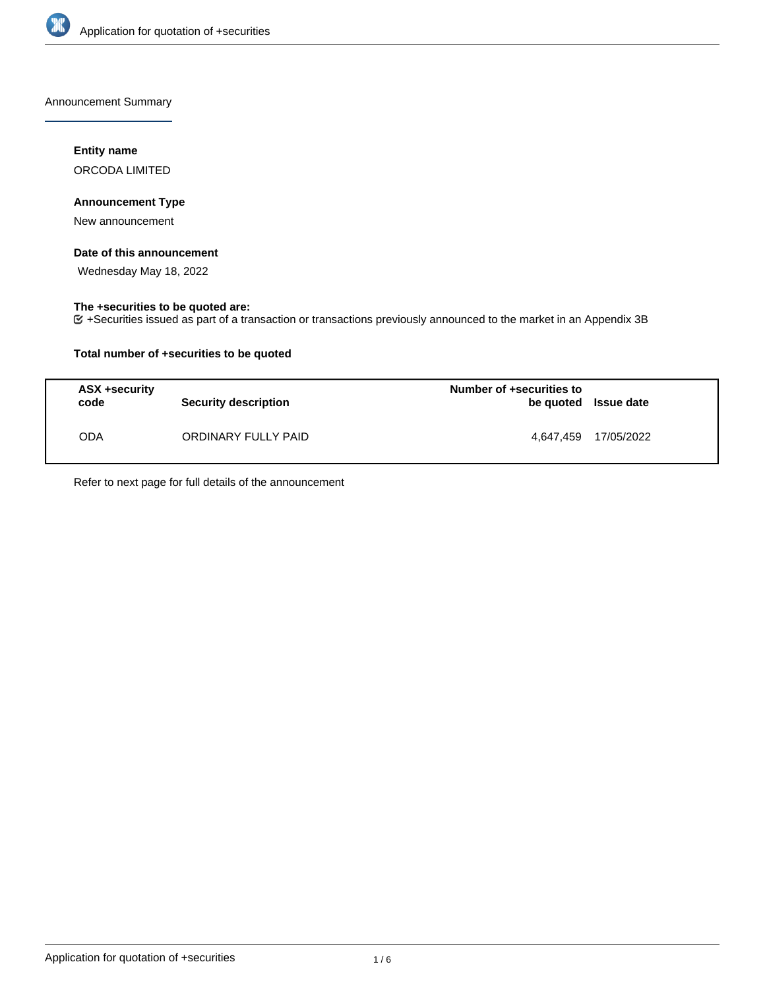

Announcement Summary

### **Entity name**

ORCODA LIMITED

### **Announcement Type**

New announcement

### **Date of this announcement**

Wednesday May 18, 2022

### **The +securities to be quoted are:**

+Securities issued as part of a transaction or transactions previously announced to the market in an Appendix 3B

### **Total number of +securities to be quoted**

| ASX +security<br>code | <b>Security description</b> | Number of +securities to<br>be quoted Issue date |                      |
|-----------------------|-----------------------------|--------------------------------------------------|----------------------|
| ODA                   | ORDINARY FULLY PAID         |                                                  | 4.647.459 17/05/2022 |

Refer to next page for full details of the announcement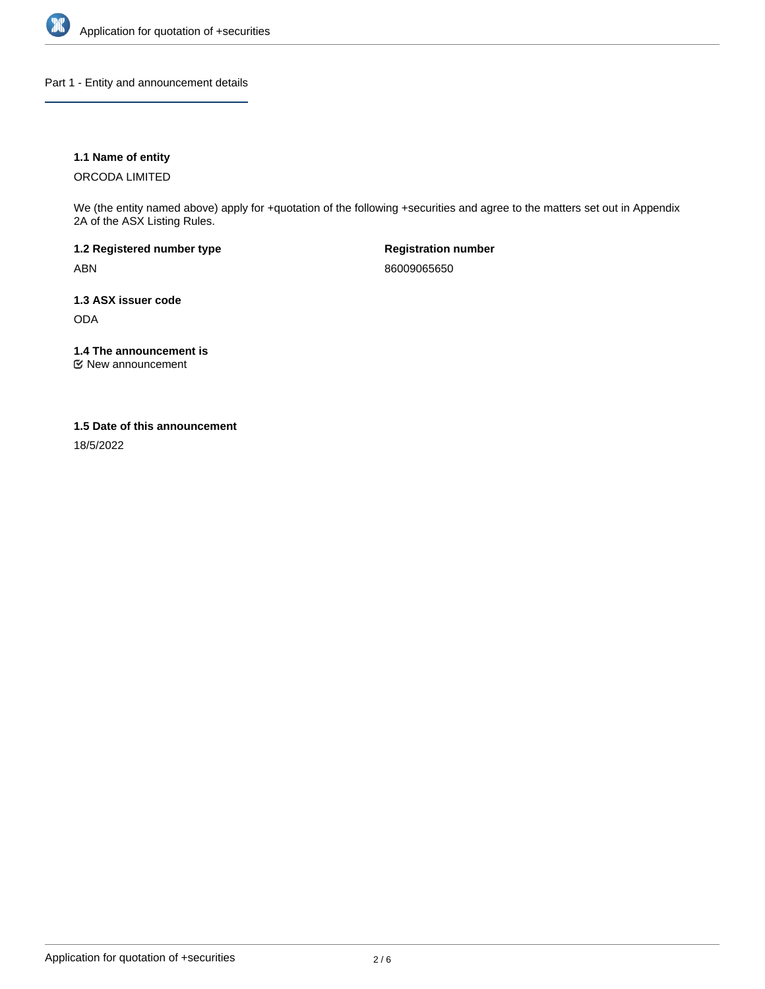

Part 1 - Entity and announcement details

### **1.1 Name of entity**

ORCODA LIMITED

We (the entity named above) apply for +quotation of the following +securities and agree to the matters set out in Appendix 2A of the ASX Listing Rules.

**1.2 Registered number type** ABN

**Registration number** 86009065650

**1.3 ASX issuer code** ODA

**1.4 The announcement is**

New announcement

### **1.5 Date of this announcement**

18/5/2022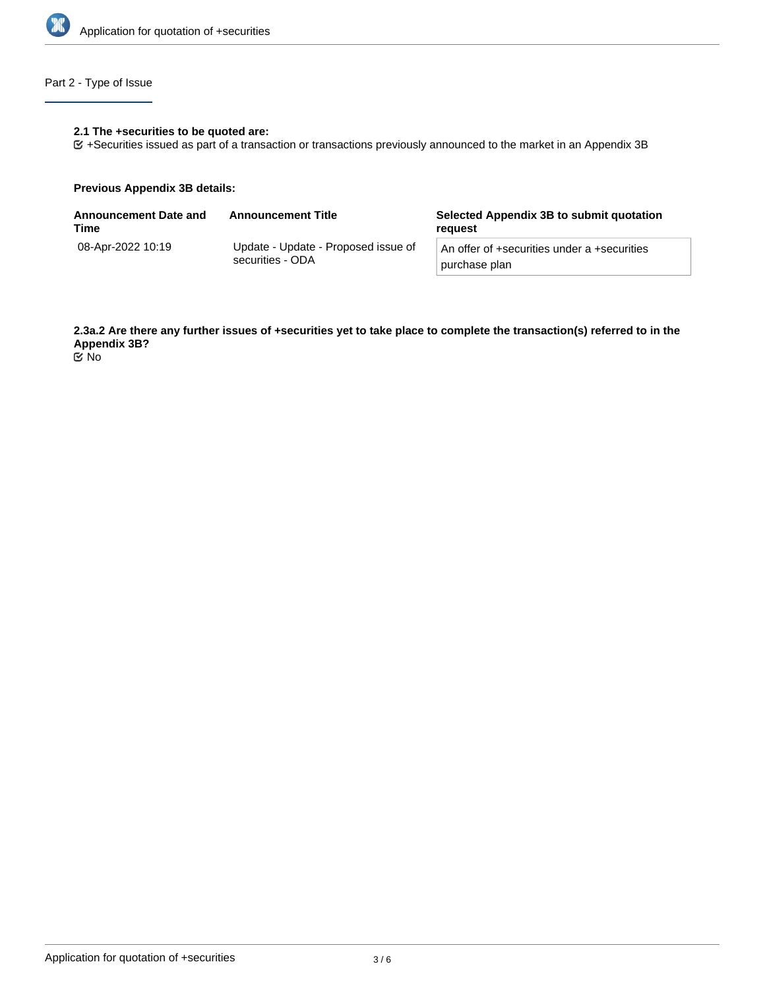

# Part 2 - Type of Issue

#### **2.1 The +securities to be quoted are:**

+Securities issued as part of a transaction or transactions previously announced to the market in an Appendix 3B

#### **Previous Appendix 3B details:**

| <b>Announcement Date and</b><br>Time | <b>Announcement Title</b>                               | Selected Appendix 3B to submit quotation<br>reauest          |
|--------------------------------------|---------------------------------------------------------|--------------------------------------------------------------|
| 08-Apr-2022 10:19                    | Update - Update - Proposed issue of<br>securities - ODA | An offer of +securities under a +securities<br>purchase plan |

**2.3a.2 Are there any further issues of +securities yet to take place to complete the transaction(s) referred to in the Appendix 3B?**

No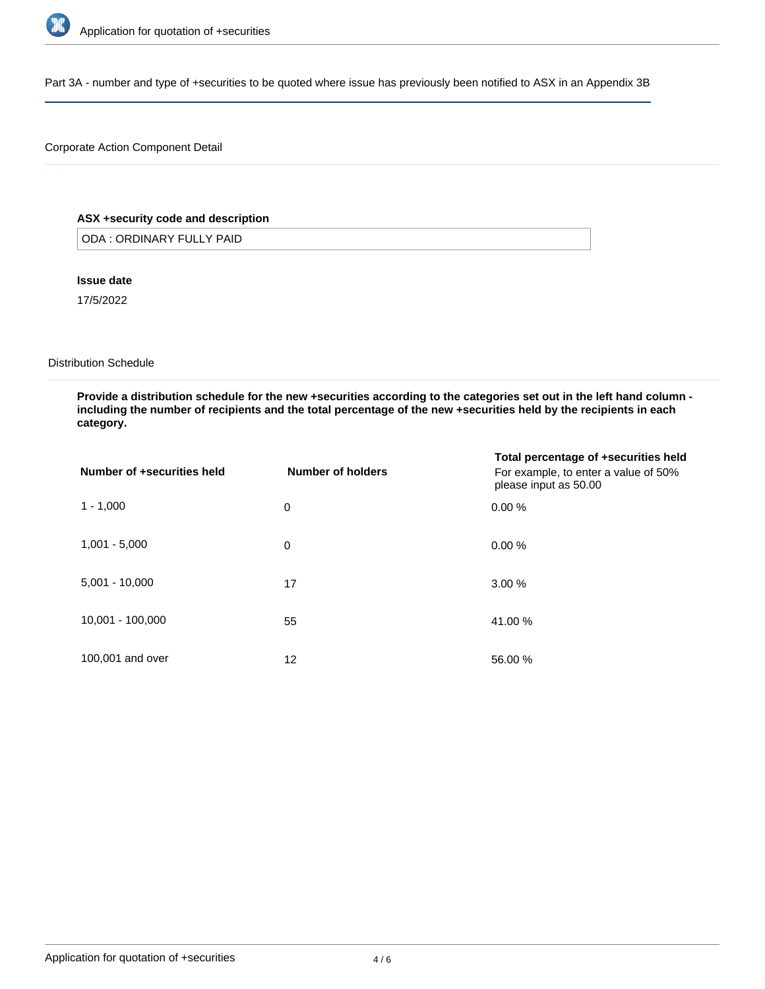

Part 3A - number and type of +securities to be quoted where issue has previously been notified to ASX in an Appendix 3B

### Corporate Action Component Detail

### **ASX +security code and description**

ODA : ORDINARY FULLY PAID

### **Issue date**

17/5/2022

#### Distribution Schedule

**Provide a distribution schedule for the new +securities according to the categories set out in the left hand column including the number of recipients and the total percentage of the new +securities held by the recipients in each category.**

| Number of +securities held | Number of holders | Total percentage of +securities held<br>For example, to enter a value of 50%<br>please input as 50.00 |
|----------------------------|-------------------|-------------------------------------------------------------------------------------------------------|
| $1 - 1,000$                | 0                 | 0.00%                                                                                                 |
| $1,001 - 5,000$            | 0                 | 0.00%                                                                                                 |
| $5,001 - 10,000$           | 17                | 3.00%                                                                                                 |
| 10,001 - 100,000           | 55                | 41.00 %                                                                                               |
| 100,001 and over           | 12                | 56.00 %                                                                                               |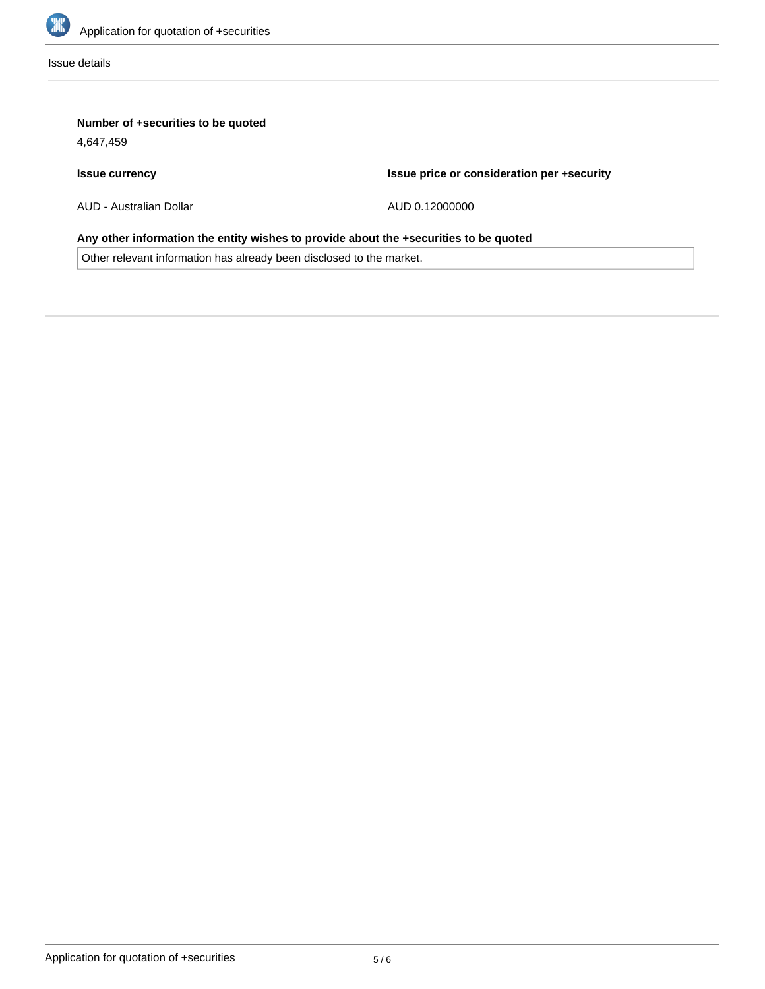

Issue details

### **Number of +securities to be quoted**

4,647,459

### **Issue currency**

**Issue price or consideration per +security**

AUD - Australian Dollar

AUD 0.12000000

## **Any other information the entity wishes to provide about the +securities to be quoted**

Other relevant information has already been disclosed to the market.